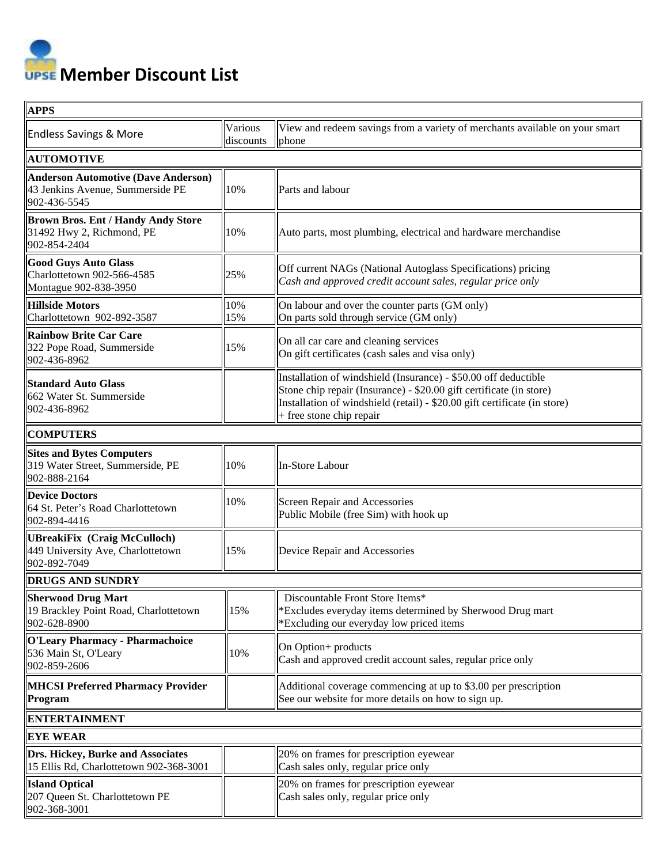**Member Discount List**

| <b>APPS</b>                                                                                    |                      |                                                                                                                                                                                                                                                 |  |  |
|------------------------------------------------------------------------------------------------|----------------------|-------------------------------------------------------------------------------------------------------------------------------------------------------------------------------------------------------------------------------------------------|--|--|
| <b>Endless Savings &amp; More</b>                                                              | Various<br>discounts | View and redeem savings from a variety of merchants available on your smart<br>phone                                                                                                                                                            |  |  |
| <b>AUTOMOTIVE</b>                                                                              |                      |                                                                                                                                                                                                                                                 |  |  |
| <b>Anderson Automotive (Dave Anderson)</b><br>43 Jenkins Avenue, Summerside PE<br>902-436-5545 | 10%                  | Parts and labour                                                                                                                                                                                                                                |  |  |
| <b>Brown Bros. Ent / Handy Andy Store</b><br>31492 Hwy 2, Richmond, PE<br>902-854-2404         | 10%                  | Auto parts, most plumbing, electrical and hardware merchandise                                                                                                                                                                                  |  |  |
| <b>Good Guys Auto Glass</b><br>Charlottetown 902-566-4585<br>Montague 902-838-3950             | 25%                  | Off current NAGs (National Autoglass Specifications) pricing<br>Cash and approved credit account sales, regular price only                                                                                                                      |  |  |
| <b>Hillside Motors</b><br>Charlottetown 902-892-3587                                           | 10%<br>15%           | On labour and over the counter parts (GM only)<br>On parts sold through service (GM only)                                                                                                                                                       |  |  |
| <b>Rainbow Brite Car Care</b><br>322 Pope Road, Summerside<br>902-436-8962                     | 15%                  | On all car care and cleaning services<br>On gift certificates (cash sales and visa only)                                                                                                                                                        |  |  |
| <b>Standard Auto Glass</b><br>662 Water St. Summerside<br>902-436-8962                         |                      | Installation of windshield (Insurance) - \$50.00 off deductible<br>Stone chip repair (Insurance) - \$20.00 gift certificate (in store)<br>Installation of windshield (retail) - \$20.00 gift certificate (in store)<br>+ free stone chip repair |  |  |
| <b>COMPUTERS</b>                                                                               |                      |                                                                                                                                                                                                                                                 |  |  |
| <b>Sites and Bytes Computers</b><br>319 Water Street, Summerside, PE<br>902-888-2164           | 10%                  | In-Store Labour                                                                                                                                                                                                                                 |  |  |
| <b>Device Doctors</b><br>64 St. Peter's Road Charlottetown<br>902-894-4416                     | 10%                  | Screen Repair and Accessories<br>Public Mobile (free Sim) with hook up                                                                                                                                                                          |  |  |
| <b>UBreakiFix (Craig McCulloch)</b><br>449 University Ave, Charlottetown<br>902-892-7049       | 15%                  | Device Repair and Accessories                                                                                                                                                                                                                   |  |  |
| <b>DRUGS AND SUNDRY</b>                                                                        |                      |                                                                                                                                                                                                                                                 |  |  |
| Sherwood Drug Mart<br>19 Brackley Point Road, Charlottetown<br>902-628-8900                    | 15%                  | Discountable Front Store Items*<br>*Excludes everyday items determined by Sherwood Drug mart<br>*Excluding our everyday low priced items                                                                                                        |  |  |
| <b>O'Leary Pharmacy - Pharmachoice</b><br>536 Main St, O'Leary<br>902-859-2606                 | 10%                  | On Option+ products<br>Cash and approved credit account sales, regular price only                                                                                                                                                               |  |  |
| <b>MHCSI Preferred Pharmacy Provider</b><br>Program                                            |                      | Additional coverage commencing at up to \$3.00 per prescription<br>See our website for more details on how to sign up.                                                                                                                          |  |  |
| <b>ENTERTAINMENT</b>                                                                           |                      |                                                                                                                                                                                                                                                 |  |  |
| <b>EYE WEAR</b>                                                                                |                      |                                                                                                                                                                                                                                                 |  |  |
| Drs. Hickey, Burke and Associates<br>15 Ellis Rd, Charlottetown 902-368-3001                   |                      | 20% on frames for prescription eyewear<br>Cash sales only, regular price only                                                                                                                                                                   |  |  |
| <b>Island Optical</b><br>207 Queen St. Charlottetown PE<br>902-368-3001                        |                      | 20% on frames for prescription eyewear<br>Cash sales only, regular price only                                                                                                                                                                   |  |  |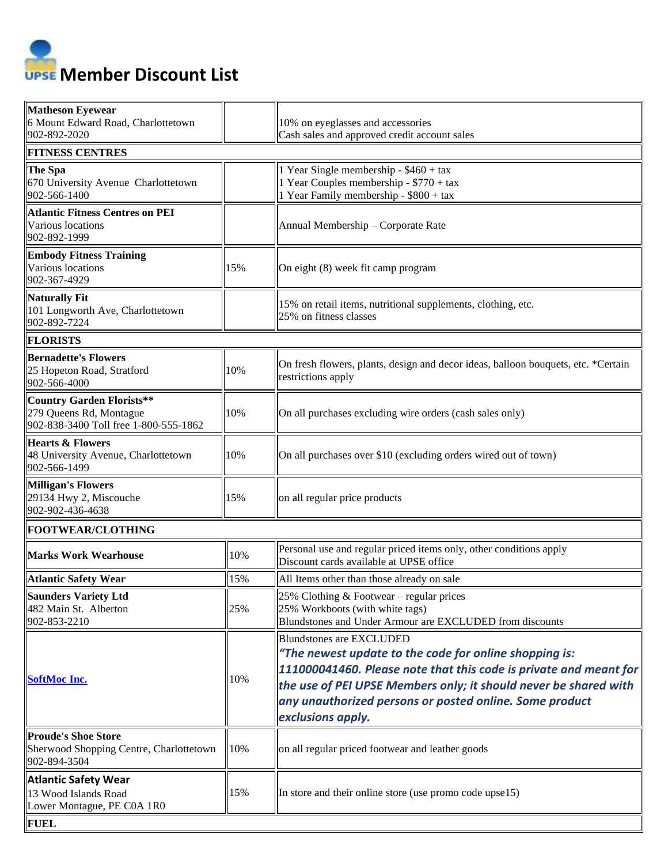**Member Discount List** 

| <b>Matheson Eyewear</b><br>6 Mount Edward Road, Charlottetown<br>902-892-2020                        |     | 10% on eyeglasses and accessories<br>Cash sales and approved credit account sales                                                                                                                                                                                                                                  |  |  |  |
|------------------------------------------------------------------------------------------------------|-----|--------------------------------------------------------------------------------------------------------------------------------------------------------------------------------------------------------------------------------------------------------------------------------------------------------------------|--|--|--|
| <b>FITNESS CENTRES</b>                                                                               |     |                                                                                                                                                                                                                                                                                                                    |  |  |  |
| The Spa<br>670 University Avenue Charlottetown<br>902-566-1400                                       |     | 1 Year Single membership - $$460 + tax$<br>1 Year Couples membership - \$770 + tax<br>1 Year Family membership - \$800 + tax                                                                                                                                                                                       |  |  |  |
| <b>Atlantic Fitness Centres on PEI</b><br>Various locations<br>902-892-1999                          |     | Annual Membership - Corporate Rate                                                                                                                                                                                                                                                                                 |  |  |  |
| <b>Embody Fitness Training</b><br>Various locations<br>902-367-4929                                  | 15% | On eight (8) week fit camp program                                                                                                                                                                                                                                                                                 |  |  |  |
| <b>Naturally Fit</b><br>101 Longworth Ave, Charlottetown<br>902-892-7224                             |     | 15% on retail items, nutritional supplements, clothing, etc.<br>25% on fitness classes                                                                                                                                                                                                                             |  |  |  |
| <b>FLORISTS</b>                                                                                      |     |                                                                                                                                                                                                                                                                                                                    |  |  |  |
| <b>Bernadette's Flowers</b><br>25 Hopeton Road, Stratford<br>902-566-4000                            | 10% | On fresh flowers, plants, design and decor ideas, balloon bouquets, etc. *Certain<br>restrictions apply                                                                                                                                                                                                            |  |  |  |
| <b>Country Garden Florists**</b><br>279 Queens Rd, Montague<br>902-838-3400 Toll free 1-800-555-1862 | 10% | On all purchases excluding wire orders (cash sales only)                                                                                                                                                                                                                                                           |  |  |  |
| <b>Hearts &amp; Flowers</b><br>48 University Avenue, Charlottetown<br>902-566-1499                   | 10% | On all purchases over \$10 (excluding orders wired out of town)                                                                                                                                                                                                                                                    |  |  |  |
| <b>Milligan's Flowers</b><br>29134 Hwy 2, Miscouche<br>902-902-436-4638                              | 15% | on all regular price products                                                                                                                                                                                                                                                                                      |  |  |  |
| FOOTWEAR/CLOTHING                                                                                    |     |                                                                                                                                                                                                                                                                                                                    |  |  |  |
| <b>Marks Work Wearhouse</b>                                                                          | 10% | Personal use and regular priced items only, other conditions apply<br>Discount cards available at UPSE office                                                                                                                                                                                                      |  |  |  |
| <b>Atlantic Safety Wear</b>                                                                          | 15% | All Items other than those already on sale                                                                                                                                                                                                                                                                         |  |  |  |
| <b>Saunders Variety Ltd</b><br>482 Main St. Alberton<br>902-853-2210                                 | 25% | 25% Clothing $& Footwear - regular prices$<br>25% Workboots (with white tags)<br>Blundstones and Under Armour are EXCLUDED from discounts                                                                                                                                                                          |  |  |  |
| <b>SoftMoc Inc.</b>                                                                                  | 10% | <b>Blundstones are EXCLUDED</b><br>"The newest update to the code for online shopping is:<br>111000041460. Please note that this code is private and meant for<br>the use of PEI UPSE Members only; it should never be shared with<br>any unauthorized persons or posted online. Some product<br>exclusions apply. |  |  |  |
| <b>Proude's Shoe Store</b><br>Sherwood Shopping Centre, Charlottetown<br>902-894-3504                | 10% | on all regular priced footwear and leather goods                                                                                                                                                                                                                                                                   |  |  |  |
| <b>Atlantic Safety Wear</b><br>13 Wood Islands Road<br>Lower Montague, PE C0A 1R0                    | 15% | In store and their online store (use promo code upse15)                                                                                                                                                                                                                                                            |  |  |  |
| <b>FUEL</b>                                                                                          |     |                                                                                                                                                                                                                                                                                                                    |  |  |  |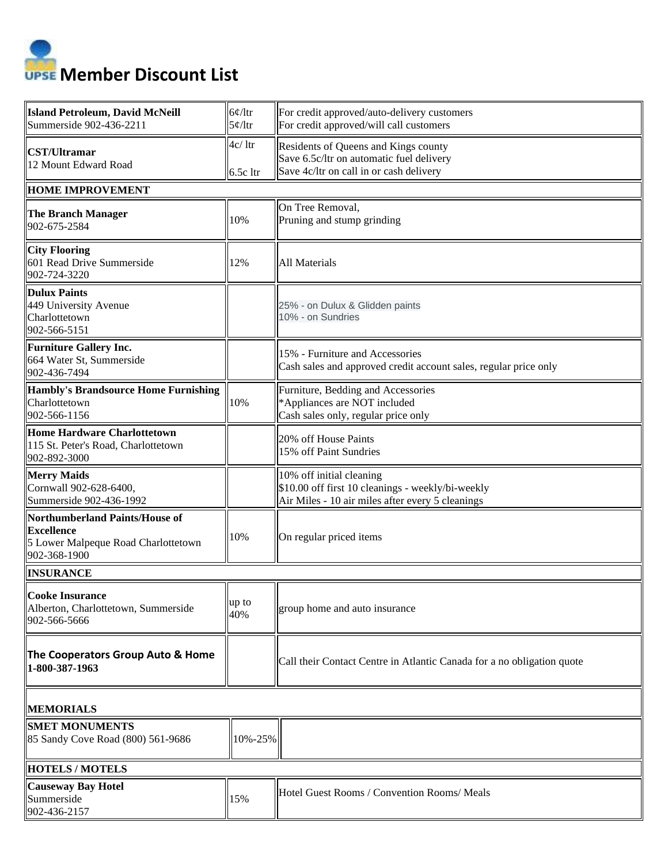

| <b>Island Petroleum, David McNeill</b><br>Summerside 902-436-2211                                                 | 6¢/Itr<br>5¢/Itr  | For credit approved/auto-delivery customers<br>For credit approved/will call customers                                            |  |  |
|-------------------------------------------------------------------------------------------------------------------|-------------------|-----------------------------------------------------------------------------------------------------------------------------------|--|--|
| <b>CST/Ultramar</b><br>12 Mount Edward Road                                                                       | 4c/1tr<br>6.5cltr | Residents of Queens and Kings county<br>Save 6.5c/ltr on automatic fuel delivery<br>Save 4c/ltr on call in or cash delivery       |  |  |
| <b>HOME IMPROVEMENT</b>                                                                                           |                   |                                                                                                                                   |  |  |
| <b>The Branch Manager</b><br>902-675-2584                                                                         | 10%               | On Tree Removal,<br>Pruning and stump grinding                                                                                    |  |  |
| <b>City Flooring</b><br>601 Read Drive Summerside<br>902-724-3220                                                 | 12%               | All Materials                                                                                                                     |  |  |
| <b>Dulux Paints</b><br>449 University Avenue<br>Charlottetown<br>902-566-5151                                     |                   | 25% - on Dulux & Glidden paints<br>10% - on Sundries                                                                              |  |  |
| <b>Furniture Gallery Inc.</b><br>664 Water St, Summerside<br>902-436-7494                                         |                   | 15% - Furniture and Accessories<br>Cash sales and approved credit account sales, regular price only                               |  |  |
| <b>Hambly's Brandsource Home Furnishing</b><br>Charlottetown<br>902-566-1156                                      | 10%               | Furniture, Bedding and Accessories<br>*Appliances are NOT included<br>Cash sales only, regular price only                         |  |  |
| <b>Home Hardware Charlottetown</b><br>115 St. Peter's Road, Charlottetown<br>902-892-3000                         |                   | 20% off House Paints<br>15% off Paint Sundries                                                                                    |  |  |
| <b>Merry Maids</b><br>Cornwall 902-628-6400,<br>Summerside 902-436-1992                                           |                   | 10% off initial cleaning<br>\$10.00 off first 10 cleanings - weekly/bi-weekly<br>Air Miles - 10 air miles after every 5 cleanings |  |  |
| <b>Northumberland Paints/House of</b><br><b>Excellence</b><br>5 Lower Malpeque Road Charlottetown<br>902-368-1900 | 10%               | On regular priced items                                                                                                           |  |  |
| <b>INSURANCE</b>                                                                                                  |                   |                                                                                                                                   |  |  |
| <b>Cooke Insurance</b><br>Alberton, Charlottetown, Summerside<br>902-566-5666                                     | up to<br>40%      | group home and auto insurance                                                                                                     |  |  |
| The Cooperators Group Auto & Home<br>1-800-387-1963                                                               |                   | Call their Contact Centre in Atlantic Canada for a no obligation quote                                                            |  |  |
| <b>MEMORIALS</b>                                                                                                  |                   |                                                                                                                                   |  |  |
| <b>SMET MONUMENTS</b><br>85 Sandy Cove Road (800) 561-9686                                                        | 10%-25%           |                                                                                                                                   |  |  |
| <b>HOTELS / MOTELS</b>                                                                                            |                   |                                                                                                                                   |  |  |
| <b>Causeway Bay Hotel</b><br>Summerside<br>902-436-2157                                                           | 15%               | Hotel Guest Rooms / Convention Rooms/ Meals                                                                                       |  |  |